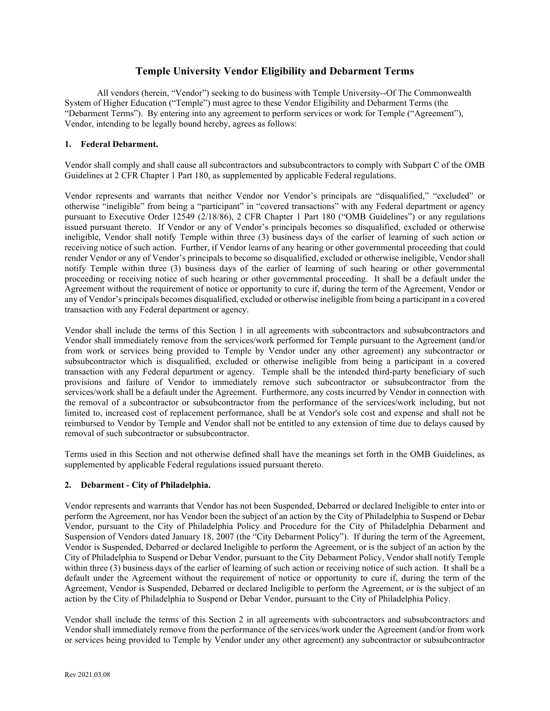## **Temple University Vendor Eligibility and Debarment Terms**

All vendors (herein, "Vendor") seeking to do business with Temple University--Of The Commonwealth System of Higher Education ("Temple") must agree to these Vendor Eligibility and Debarment Terms (the "Debarment Terms"). By entering into any agreement to perform services or work for Temple ("Agreement"), Vendor, intending to be legally bound hereby, agrees as follows:

## **1. Federal Debarment.**

Vendor shall comply and shall cause all subcontractors and subsubcontractors to comply with Subpart C of the OMB Guidelines at 2 CFR Chapter 1 Part 180, as supplemented by applicable Federal regulations.

Vendor represents and warrants that neither Vendor nor Vendor's principals are "disqualified," "excluded" or otherwise "ineligible" from being a "participant" in "covered transactions" with any Federal department or agency pursuant to Executive Order 12549 (2/18/86), 2 CFR Chapter 1 Part 180 ("OMB Guidelines") or any regulations issued pursuant thereto. If Vendor or any of Vendor's principals becomes so disqualified, excluded or otherwise ineligible, Vendor shall notify Temple within three (3) business days of the earlier of learning of such action or receiving notice of such action. Further, if Vendor learns of any hearing or other governmental proceeding that could render Vendor or any of Vendor's principals to become so disqualified, excluded or otherwise ineligible, Vendor shall notify Temple within three (3) business days of the earlier of learning of such hearing or other governmental proceeding or receiving notice of such hearing or other governmental proceeding. It shall be a default under the Agreement without the requirement of notice or opportunity to cure if, during the term of the Agreement, Vendor or any of Vendor's principals becomes disqualified, excluded or otherwise ineligible from being a participant in a covered transaction with any Federal department or agency.

Vendor shall include the terms of this Section 1 in all agreements with subcontractors and subsubcontractors and Vendor shall immediately remove from the services/work performed for Temple pursuant to the Agreement (and/or from work or services being provided to Temple by Vendor under any other agreement) any subcontractor or subsubcontractor which is disqualified, excluded or otherwise ineligible from being a participant in a covered transaction with any Federal department or agency. Temple shall be the intended third-party beneficiary of such provisions and failure of Vendor to immediately remove such subcontractor or subsubcontractor from the services/work shall be a default under the Agreement. Furthermore, any costs incurred by Vendor in connection with the removal of a subcontractor or subsubcontractor from the performance of the services/work including, but not limited to, increased cost of replacement performance, shall be at Vendor's sole cost and expense and shall not be reimbursed to Vendor by Temple and Vendor shall not be entitled to any extension of time due to delays caused by removal of such subcontractor or subsubcontractor.

Terms used in this Section and not otherwise defined shall have the meanings set forth in the OMB Guidelines, as supplemented by applicable Federal regulations issued pursuant thereto.

## **2. Debarment - City of Philadelphia.**

Vendor represents and warrants that Vendor has not been Suspended, Debarred or declared Ineligible to enter into or perform the Agreement, nor has Vendor been the subject of an action by the City of Philadelphia to Suspend or Debar Vendor, pursuant to the City of Philadelphia Policy and Procedure for the City of Philadelphia Debarment and Suspension of Vendors dated January 18, 2007 (the "City Debarment Policy"). If during the term of the Agreement, Vendor is Suspended, Debarred or declared Ineligible to perform the Agreement, or is the subject of an action by the City of Philadelphia to Suspend or Debar Vendor, pursuant to the City Debarment Policy, Vendor shall notify Temple within three (3) business days of the earlier of learning of such action or receiving notice of such action. It shall be a default under the Agreement without the requirement of notice or opportunity to cure if, during the term of the Agreement, Vendor is Suspended, Debarred or declared Ineligible to perform the Agreement, or is the subject of an action by the City of Philadelphia to Suspend or Debar Vendor, pursuant to the City of Philadelphia Policy.

Vendor shall include the terms of this Section 2 in all agreements with subcontractors and subsubcontractors and Vendor shall immediately remove from the performance of the services/work under the Agreement (and/or from work or services being provided to Temple by Vendor under any other agreement) any subcontractor or subsubcontractor